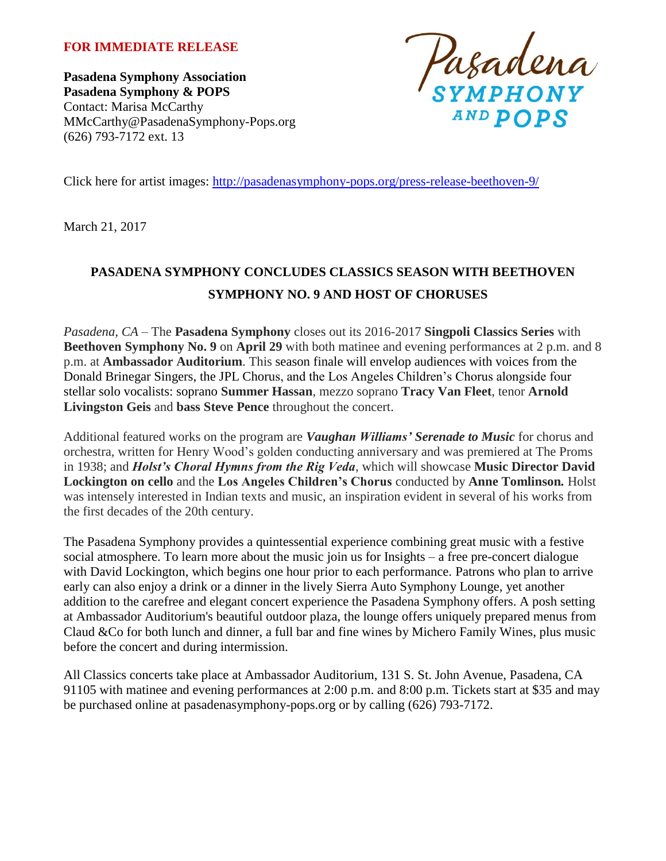### **FOR IMMEDIATE RELEASE**

**Pasadena Symphony Association Pasadena Symphony & POPS** Contact: Marisa McCarthy MMcCarthy@PasadenaSymphony-Pops.org (626) 793-7172 ext. 13



Click here for artist images:<http://pasadenasymphony-pops.org/press-release-beethoven-9/>

March 21, 2017

# **PASADENA SYMPHONY CONCLUDES CLASSICS SEASON WITH BEETHOVEN SYMPHONY NO. 9 AND HOST OF CHORUSES**

*Pasadena, CA* – The **Pasadena Symphony** closes out its 2016-2017 **Singpoli Classics Series** with **Beethoven Symphony No. 9** on **April 29** with both matinee and evening performances at 2 p.m. and 8 p.m. at **Ambassador Auditorium**. This season finale will envelop audiences with voices from the Donald Brinegar Singers, the JPL Chorus, and the Los Angeles Children's Chorus alongside four stellar solo vocalists: soprano **Summer Hassan**, mezzo soprano **Tracy Van Fleet**, tenor **Arnold Livingston Geis** and **bass Steve Pence** throughout the concert.

Additional featured works on the program are *Vaughan Williams' Serenade to Music* for chorus and orchestra*,* written for Henry Wood's golden conducting anniversary and was premiered at The Proms in 1938; and *Holst's Choral Hymns from the Rig Veda*, which will showcase **Music Director David Lockington on cello** and the **Los Angeles Children's Chorus** conducted by **Anne Tomlinson***.* Holst was intensely interested in Indian texts and music, an inspiration evident in several of his works from the first decades of the 20th century.

The Pasadena Symphony provides a quintessential experience combining great music with a festive social atmosphere. To learn more about the music join us for Insights – a free pre-concert dialogue with David Lockington, which begins one hour prior to each performance. Patrons who plan to arrive early can also enjoy a drink or a dinner in the lively Sierra Auto Symphony Lounge, yet another addition to the carefree and elegant concert experience the Pasadena Symphony offers. A posh setting at Ambassador Auditorium's beautiful outdoor plaza, the lounge offers uniquely prepared menus from Claud &Co for both lunch and dinner, a full bar and fine wines by Michero Family Wines, plus music before the concert and during intermission.

All Classics concerts take place at Ambassador Auditorium, 131 S. St. John Avenue, Pasadena, CA 91105 with matinee and evening performances at 2:00 p.m. and 8:00 p.m. Tickets start at \$35 and may be purchased online at pasadenasymphony-pops.org or by calling (626) 793-7172.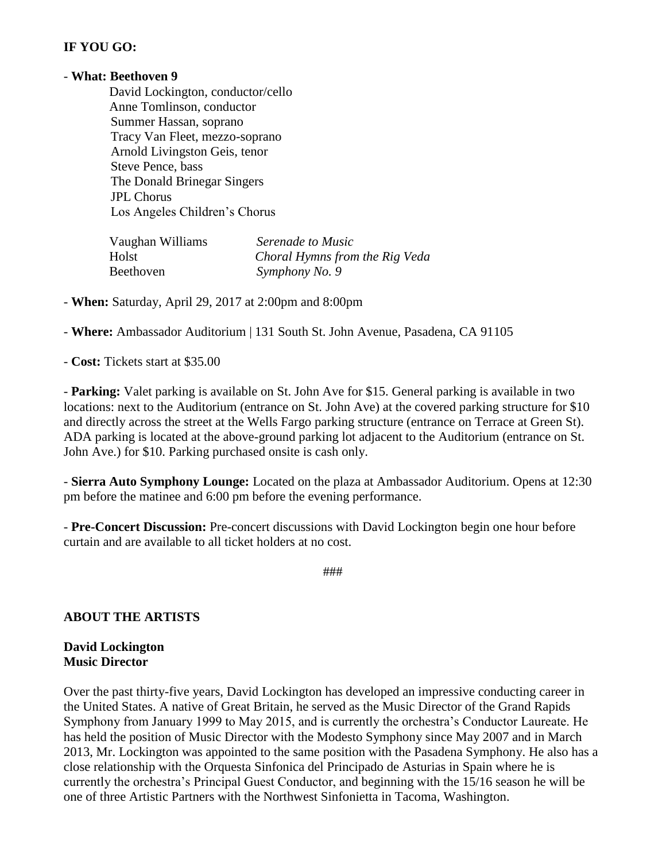### **IF YOU GO:**

#### - **What: Beethoven 9**

 David Lockington, conductor/cello Anne Tomlinson, conductor Summer Hassan, soprano Tracy Van Fleet, mezzo-soprano Arnold Livingston Geis, tenor Steve Pence, bass The Donald Brinegar Singers JPL Chorus Los Angeles Children's Chorus

| Vaughan Williams | Serenade to Music              |
|------------------|--------------------------------|
| Holst            | Choral Hymns from the Rig Veda |
| Beethoven        | Symphony No. 9                 |

- **When:** Saturday, April 29, 2017 at 2:00pm and 8:00pm

- **Where:** Ambassador Auditorium | 131 South St. John Avenue, Pasadena, CA 91105

- **Cost:** Tickets start at \$35.00

- **Parking:** Valet parking is available on St. John Ave for \$15. General parking is available in two locations: next to the Auditorium (entrance on St. John Ave) at the covered parking structure for \$10 and directly across the street at the Wells Fargo parking structure (entrance on Terrace at Green St). ADA parking is located at the above-ground parking lot adjacent to the Auditorium (entrance on St. John Ave.) for \$10. Parking purchased onsite is cash only.

- **Sierra Auto Symphony Lounge:** Located on the plaza at Ambassador Auditorium. Opens at 12:30 pm before the matinee and 6:00 pm before the evening performance.

- **Pre-Concert Discussion:** Pre-concert discussions with David Lockington begin one hour before curtain and are available to all ticket holders at no cost.

###

### **ABOUT THE ARTISTS**

#### **David Lockington Music Director**

Over the past thirty-five years, David Lockington has developed an impressive conducting career in the United States. A native of Great Britain, he served as the Music Director of the Grand Rapids Symphony from January 1999 to May 2015, and is currently the orchestra's Conductor Laureate. He has held the position of Music Director with the Modesto Symphony since May 2007 and in March 2013, Mr. Lockington was appointed to the same position with the Pasadena Symphony. He also has a close relationship with the Orquesta Sinfonica del Principado de Asturias in Spain where he is currently the orchestra's Principal Guest Conductor, and beginning with the 15/16 season he will be one of three Artistic Partners with the Northwest Sinfonietta in Tacoma, Washington.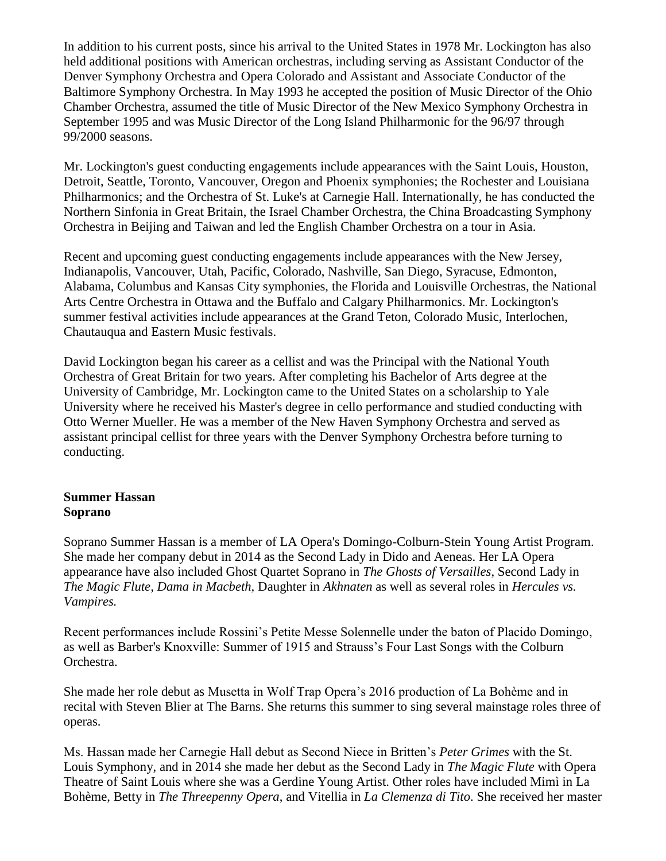In addition to his current posts, since his arrival to the United States in 1978 Mr. Lockington has also held additional positions with American orchestras, including serving as Assistant Conductor of the Denver Symphony Orchestra and Opera Colorado and Assistant and Associate Conductor of the Baltimore Symphony Orchestra. In May 1993 he accepted the position of Music Director of the Ohio Chamber Orchestra, assumed the title of Music Director of the New Mexico Symphony Orchestra in September 1995 and was Music Director of the Long Island Philharmonic for the 96/97 through 99/2000 seasons.

Mr. Lockington's guest conducting engagements include appearances with the Saint Louis, Houston, Detroit, Seattle, Toronto, Vancouver, Oregon and Phoenix symphonies; the Rochester and Louisiana Philharmonics; and the Orchestra of St. Luke's at Carnegie Hall. Internationally, he has conducted the Northern Sinfonia in Great Britain, the Israel Chamber Orchestra, the China Broadcasting Symphony Orchestra in Beijing and Taiwan and led the English Chamber Orchestra on a tour in Asia.

Recent and upcoming guest conducting engagements include appearances with the New Jersey, Indianapolis, Vancouver, Utah, Pacific, Colorado, Nashville, San Diego, Syracuse, Edmonton, Alabama, Columbus and Kansas City symphonies, the Florida and Louisville Orchestras, the National Arts Centre Orchestra in Ottawa and the Buffalo and Calgary Philharmonics. Mr. Lockington's summer festival activities include appearances at the Grand Teton, Colorado Music, Interlochen, Chautauqua and Eastern Music festivals.

David Lockington began his career as a cellist and was the Principal with the National Youth Orchestra of Great Britain for two years. After completing his Bachelor of Arts degree at the University of Cambridge, Mr. Lockington came to the United States on a scholarship to Yale University where he received his Master's degree in cello performance and studied conducting with Otto Werner Mueller. He was a member of the New Haven Symphony Orchestra and served as assistant principal cellist for three years with the Denver Symphony Orchestra before turning to conducting.

### **Summer Hassan Soprano**

Soprano Summer Hassan is a member of LA Opera's Domingo-Colburn-Stein Young Artist Program. She made her company debut in 2014 as the Second Lady in Dido and Aeneas. Her LA Opera appearance have also included Ghost Quartet Soprano in *The Ghosts of Versailles*, Second Lady in *The Magic Flute, Dama in Macbeth,* Daughter in *Akhnaten* as well as several roles in *Hercules vs. Vampires.* 

Recent performances include Rossini's Petite Messe Solennelle under the baton of Placido Domingo, as well as Barber's Knoxville: Summer of 1915 and Strauss's Four Last Songs with the Colburn Orchestra.

She made her role debut as Musetta in Wolf Trap Opera's 2016 production of La Bohème and in recital with Steven Blier at The Barns. She returns this summer to sing several mainstage roles three of operas.

Ms. Hassan made her Carnegie Hall debut as Second Niece in Britten's *Peter Grimes* with the St. Louis Symphony, and in 2014 she made her debut as the Second Lady in *The Magic Flute* with Opera Theatre of Saint Louis where she was a Gerdine Young Artist. Other roles have included Mimì in La Bohème, Betty in *The Threepenny Opera*, and Vitellia in *La Clemenza di Tito*. She received her master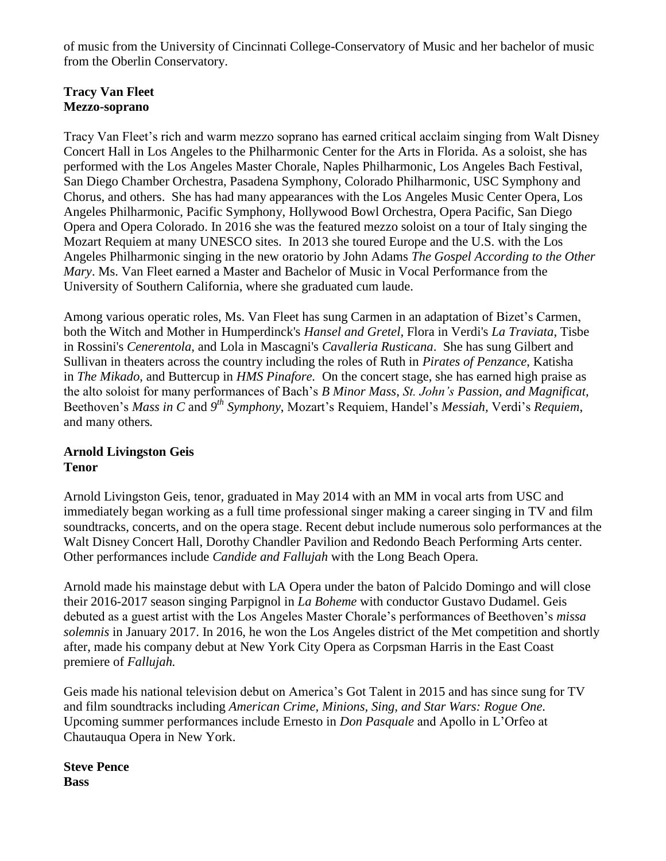of music from the University of Cincinnati College-Conservatory of Music and her bachelor of music from the Oberlin Conservatory.

### **Tracy Van Fleet Mezzo-soprano**

Tracy Van Fleet's rich and warm mezzo soprano has earned critical acclaim singing from Walt Disney Concert Hall in Los Angeles to the Philharmonic Center for the Arts in Florida. As a soloist, she has performed with the Los Angeles Master Chorale, Naples Philharmonic, Los Angeles Bach Festival, San Diego Chamber Orchestra, Pasadena Symphony, Colorado Philharmonic, USC Symphony and Chorus, and others. She has had many appearances with the Los Angeles Music Center Opera, Los Angeles Philharmonic, Pacific Symphony, Hollywood Bowl Orchestra, Opera Pacific, San Diego Opera and Opera Colorado. In 2016 she was the featured mezzo soloist on a tour of Italy singing the Mozart Requiem at many UNESCO sites. In 2013 she toured Europe and the U.S. with the Los Angeles Philharmonic singing in the new oratorio by John Adams *The Gospel According to the Other Mary*. Ms. Van Fleet earned a Master and Bachelor of Music in Vocal Performance from the University of Southern California, where she graduated cum laude.

Among various operatic roles, Ms. Van Fleet has sung Carmen in an adaptation of Bizet's Carmen, both the Witch and Mother in Humperdinck's *Hansel and Gretel,* Flora in Verdi's *La Traviata*, Tisbe in Rossini's *Cenerentola*, and Lola in Mascagni's *Cavalleria Rusticana*. She has sung Gilbert and Sullivan in theaters across the country including the roles of Ruth in *Pirates of Penzance*, Katisha in *The Mikado*, and Buttercup in *HMS Pinafore.* On the concert stage, she has earned high praise as the alto soloist for many performances of Bach's *B Minor Mass*, *St. John's Passion, and Magnificat,*  Beethoven's *Mass in C* and *9 th Symphony*, Mozart's Requiem, Handel's *Messiah,* Verdi's *Requiem*, and many others*.*

### **Arnold Livingston Geis Tenor**

Arnold Livingston Geis, tenor, graduated in May 2014 with an MM in vocal arts from USC and immediately began working as a full time professional singer making a career singing in TV and film soundtracks, concerts, and on the opera stage. Recent debut include numerous solo performances at the Walt Disney Concert Hall, Dorothy Chandler Pavilion and Redondo Beach Performing Arts center. Other performances include *Candide and Fallujah* with the Long Beach Opera.

Arnold made his mainstage debut with LA Opera under the baton of Palcido Domingo and will close their 2016-2017 season singing Parpignol in *La Boheme* with conductor Gustavo Dudamel. Geis debuted as a guest artist with the Los Angeles Master Chorale's performances of Beethoven's *missa solemnis* in January 2017. In 2016, he won the Los Angeles district of the Met competition and shortly after, made his company debut at New York City Opera as Corpsman Harris in the East Coast premiere of *Fallujah.*

Geis made his national television debut on America's Got Talent in 2015 and has since sung for TV and film soundtracks including *American Crime, Minions, Sing, and Star Wars: Rogue One.*  Upcoming summer performances include Ernesto in *Don Pasquale* and Apollo in L'Orfeo at Chautauqua Opera in New York.

**Steve Pence Bass**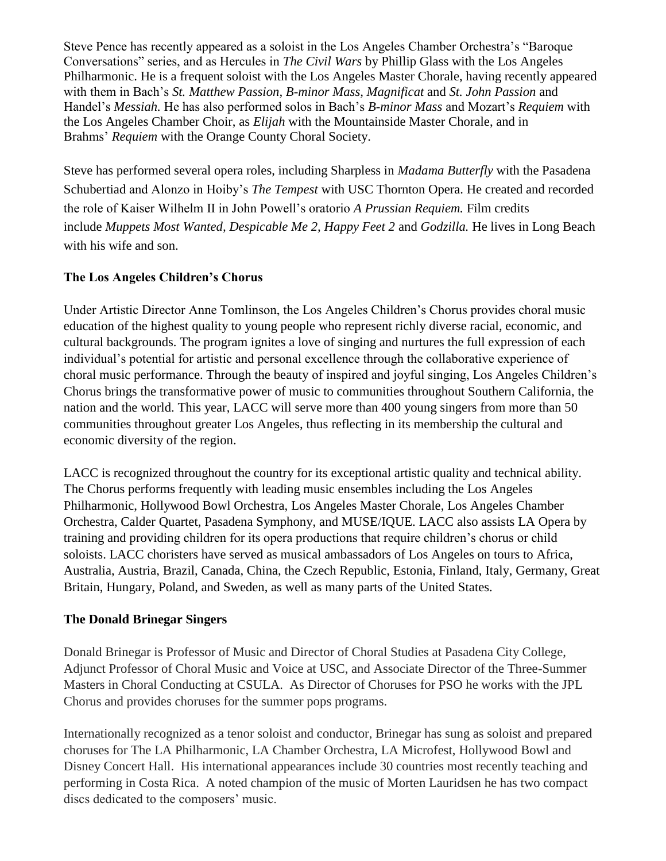Steve Pence has recently appeared as a soloist in the Los Angeles Chamber Orchestra's "Baroque Conversations" series, and as Hercules in *The Civil Wars* by Phillip Glass with the Los Angeles Philharmonic. He is a frequent soloist with the Los Angeles Master Chorale, having recently appeared with them in Bach's *St. Matthew Passion, B-minor Mass, Magnificat* and *St. John Passion* and Handel's *Messiah.* He has also performed solos in Bach's *B-minor Mass* and Mozart's *Requiem* with the Los Angeles Chamber Choir, as *Elijah* with the Mountainside Master Chorale, and in Brahms' *Requiem* with the Orange County Choral Society.

Steve has performed several opera roles, including Sharpless in *Madama Butterfly* with the Pasadena Schubertiad and Alonzo in Hoiby's *The Tempest* with USC Thornton Opera. He created and recorded the role of Kaiser Wilhelm II in John Powell's oratorio *A Prussian Requiem.* Film credits include *Muppets Most Wanted, Despicable Me 2, Happy Feet 2* and *Godzilla.* He lives in Long Beach with his wife and son.

# **The Los Angeles Children's Chorus**

Under Artistic Director Anne Tomlinson, the Los Angeles Children's Chorus provides choral music education of the highest quality to young people who represent richly diverse racial, economic, and cultural backgrounds. The program ignites a love of singing and nurtures the full expression of each individual's potential for artistic and personal excellence through the collaborative experience of choral music performance. Through the beauty of inspired and joyful singing, Los Angeles Children's Chorus brings the transformative power of music to communities throughout Southern California, the nation and the world. This year, LACC will serve more than 400 young singers from more than 50 communities throughout greater Los Angeles, thus reflecting in its membership the cultural and economic diversity of the region.

LACC is recognized throughout the country for its exceptional artistic quality and technical ability. The Chorus performs frequently with leading music ensembles including the Los Angeles Philharmonic, Hollywood Bowl Orchestra, Los Angeles Master Chorale, Los Angeles Chamber Orchestra, Calder Quartet, Pasadena Symphony, and MUSE/IQUE. LACC also assists LA Opera by training and providing children for its opera productions that require children's chorus or child soloists. LACC choristers have served as musical ambassadors of Los Angeles on tours to Africa, Australia, Austria, Brazil, Canada, China, the Czech Republic, Estonia, Finland, Italy, Germany, Great Britain, Hungary, Poland, and Sweden, as well as many parts of the United States.

## **The Donald Brinegar Singers**

Donald Brinegar is Professor of Music and Director of Choral Studies at Pasadena City College, Adjunct Professor of Choral Music and Voice at USC, and Associate Director of the Three-Summer Masters in Choral Conducting at CSULA. As Director of Choruses for PSO he works with the JPL Chorus and provides choruses for the summer pops programs.

Internationally recognized as a tenor soloist and conductor, Brinegar has sung as soloist and prepared choruses for The LA Philharmonic, LA Chamber Orchestra, LA Microfest, Hollywood Bowl and Disney Concert Hall. His international appearances include 30 countries most recently teaching and performing in Costa Rica. A noted champion of the music of Morten Lauridsen he has two compact discs dedicated to the composers' music.